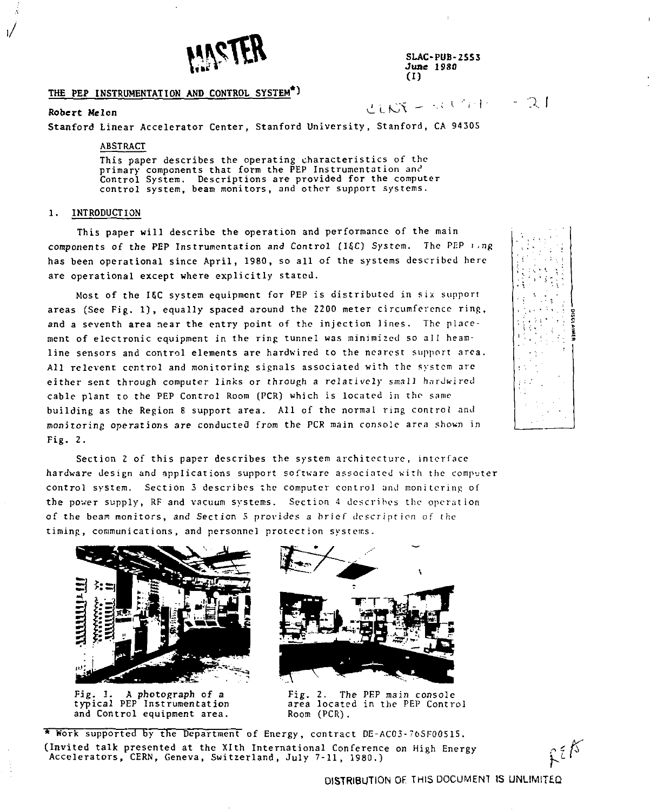

 $\lim_{\text{Im } \mathbf{P}} \sum_{\mathbf{M}} \mathbf{M} = \lim_{\text{Im } \mathbf{P}} \lim_{\text{Im } \mathbf{P}} \lim_{\mathbf{M} \to \mathbf{P}} \lim_{\mathbf{M} \to \mathbf{P}} \lim_{\mathbf{M} \to \mathbf{P}} \lim_{\mathbf{M} \to \mathbf{P}} \lim_{\mathbf{M} \to \mathbf{P}} \lim_{\mathbf{M} \to \mathbf{P}} \lim_{\mathbf{M} \to \mathbf{P}} \lim_{\mathbf{M} \to \mathbf{P}} \lim_{\mathbf{M} \to \mathbf{P}} \lim_{\mathbf{M}$ **June 1980 (I)** 

### **THE PEP INSTRUMENTATION AND CONTROL SYSTEM\*)**

### **Robert Melen** ^-

 $LNX = AU^2 n + 21$ 

Stanford Linear Accelerator Center, Stanford University, Stanford, CA 94305

### ABSTRACT

This paper describes the operating characteristics of the primary components that form the PEP Instrumentation and Control System. Descriptions are provided for the compu Descriptions are provided for the computer control system, beam monitors, and other support systems.

### 1. INTRODUCTION

This paper will describe the operation and performance of the main components of the PEP Instrumentation and Control (ISC) System. The PEP i .ng has been operational since April, 1980, so all of the systems described here are operational except where explicitly stated.

Most of the IGC system equipment for PEP is distributed in six support areas (See Fig. 1), equally spaced around the 2200 meter circumference ring, and a seventh area near the entry point of the injection lines. The placement of electronic equipment in the ring tunnel was minimized so all beamline sensors and control elements are hardwired to the nearest support area. All relevent control and monitoring signals associated with the system are either sent through computer links or through a relatively small hardwired cable plant to the PEP Control Room (PCR) which is located in the same building as the Region 8 support area. All of the normal ring control and monitoring operations are conducted from the PCR main console area shown in Fig. 2.

Section 2 of this paper describes the system architecture, interface hardware design and applications support software associated with the computer control system. Section 3 describes the computer control and monitoring of the power supply, RF and vacuum systems. Section 4 describes the operation of the beam monitors, and Section 5 provides a brief description of the timing, communications, and personnel protection systems.



and Control equipment area.



Fig. 1. A photograph of a Fig. 2. The PEP main console<br>typical PEP Instrumentation area located in the PEP Contr area located in the PEP Control<br>Room (PCR),

\* Work supported by the Department of Energy, contract DE-AC03-76SP0051S. (Invited talk presented at the Xlth International Conference on High Energy Accelerators, CERN, Geneva, Switzerland, July 7-11, 1980.)



*iff*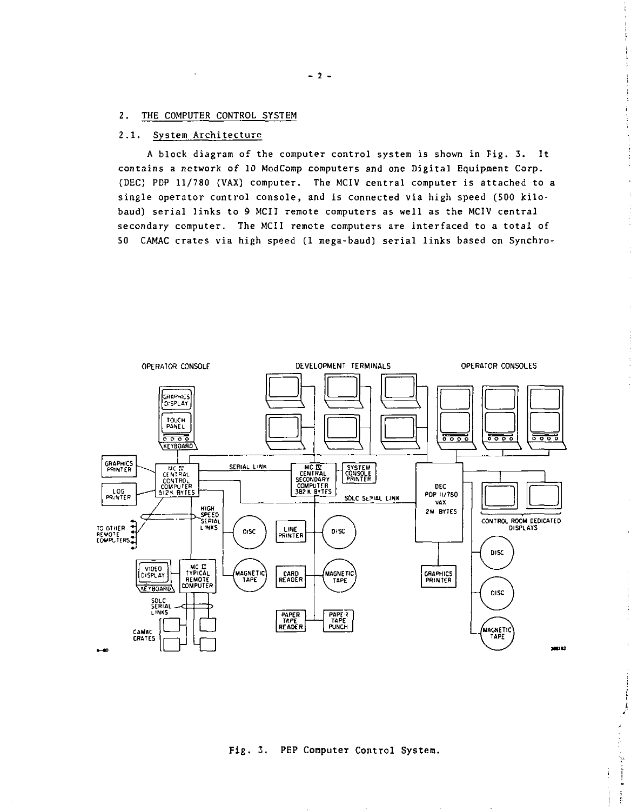# 2. THE COMPUTER CONTROL SYSTEM

# 2.1. System Architecture

A block diagram of the computer control system is shown in Fig. 3. It contains a network of 10 ModComp computers and one Digital Equipment Corp. (DEC) PDP 11/780 (VAX) computer. The MCIV central computer is attached to a single operator control console, and is connected via high speed (500 kilobaud) serial links to 9 MCI1 remote computers as well as the MCIV central secondary computer. The MCII remote computers are interfaced to a total of 50 CAMAC crates via high speed (1 mega-baud) serial links based on Synchro-



## Fig. 3. PEP Computer Control System.

ï  $\frac{1}{2}$ Ï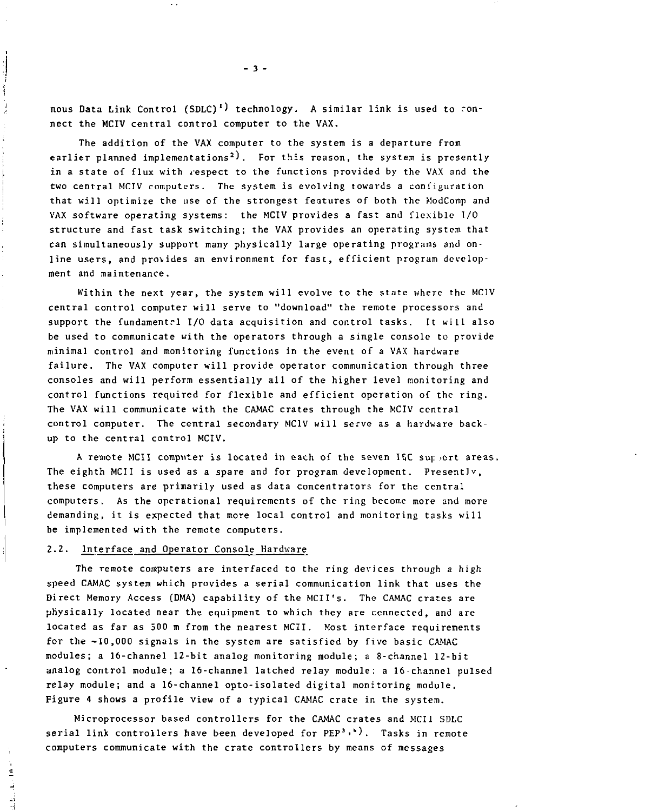nous Data Link Control  $(SDLC)^{1}$  technology. A similar link is used to connect the MCIV central control computer to the VAX.

The addition of the VAX computer to the system is a departure from earlier planned implementations<sup>2</sup>). For this reason, the system is presently in a state of flux with respect to the functions provided by the VAX and the two central MCIV computers. The system is evolving towards a configuration that will optimize the use of the strongest features of both the ModComp and VAX software operating systems: the MCIV provides a fast and flexible 1/0 structure and fast task switching; the VAX provides an operating system that can simultaneously support many physically large operating programs and online users, and provides an environment for fast, efficient program development and maintenance.

Within the next year, the system will evolve to the state where the MCIV central control computer will serve to "download" the remote processors and support the fundamental I/O data acquisition and control tasks. It will also be used to communicate with the operators through a single console to provide minimal control and monitoring functions in the event of a VAX hardware failure. The VAX computer will provide operator communication through three consoles and will perform essentially all of the higher level monitoring and control functions required for flexible and efficient operation of the ring. The VAX will communicate with the CAMAC crates through the MCIV central control computer. The central secondary MCIV will serve as a hardware backup to the central control MCIV.

A remote MCII computer is located in each of the seven I&C support areas. The eighth MCII is used as a spare and for program development. Presently, these computers are primarily used as data concentrators for the central computers. As the operational requirements of the ring become more and more demanding, it is expected that more local control and monitoring tasks will be implemented with the remote computers.

# 2.2. Interface and Operator Console Hardware

Í,

The remote computers are interfaced to the ring devices through a high speed CAMAC system which provides a serial communication link that uses the Direct Memory Access (DMA) capability of the MCII's. The CAMAC crates are physically located near the equipment to which they are connected, and are located as far as 500 m from the nearest MCII. Most interface requirements for the ~10,000 signals in the system are satisfied by five basic CAMAC modules; a 16-channel 12-bit analog monitoring module; a 8-channel 12-bit analog control module; a 16-channel latched relay module; a 16-channel pulsed relay module; and a 16-channel opto-isolated digital monitoring module. Figure 4 shows a profile view of a typical CAMAC crate in the system.

Microprocessor based controllers for the CAMAC crates and MCII SDLC serial link controllers have been developed for  $PEP<sup>3</sup>$ ,  $)$ . Tasks in remote computers communicate with the crate controllers by means of messages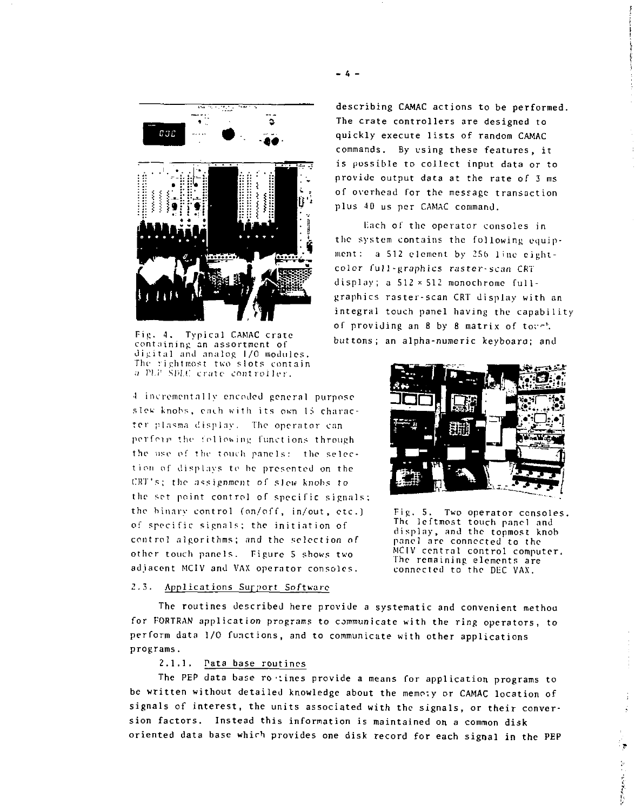

containing an assortment of digital and analog I/O modu1es. The rightmost two slots contain a PLP SDLC crate controller.

4 incrementally encoded general purpose s1cw knobs, each with its own IS character plasma display. The operator can perform the following functions through the use of the touch panels: the selection of displays to be presented on the CRT's; the assignment of slew knobs to the set point control of specific signals: the binary control (on/off, in/out, etc.) of specific signals; the initiation of control algorithms; and the selection of other touch panels. Figure 5 shows two adjacent MCIV and VAX operator consoles.

### 2.3. Applications Support Software

quickly execute lists of random CAMAC commands. By using these features, it is possible to collect input data or to provide output data at the rate of 3 ms of overhead for the message transaction plus 40 us per CAMAC command.

describing CAMAC actions to be performed. The crate controllers are designed to

Each of the operator consoles in the system contains the following equip $ment: a 512 element by 256 line eight$ color ful1-graphics raster-scan CRT display; a 512 × 512 monochrome fullgraphics raster-scan CRT display with an integral touch panel having the capability of providing an 8 by 8 matrix of town. Fig. 4. Typical CAMAC crate<br>containing an accortment of the buttons; an alpha-numeric keyboard; and



Fig. 5. Two operator consoles. The leftmost touch panel and display, and the topmost knob panel *arc* connected to the MCIV central control computer. The remaining elements are connected to the DEC VAX.

> ۰, Ģ

The routines described here provide a systematic and convenient methou for FORTRAN application programs to communicate with the ring operators, to perform data I/O functions, and to communicate with other applications programs.

## 2.1.1. Pata base routines

The PEP data base ro tines provide a means for application programs to be written without detailed knowledge about the memo:y or CAMAC location of signals of interest, the units associated with the signals, or their conversion factors. Instead this information is maintained on a common disk oriented data base which provides one disk record for each signal in the PEP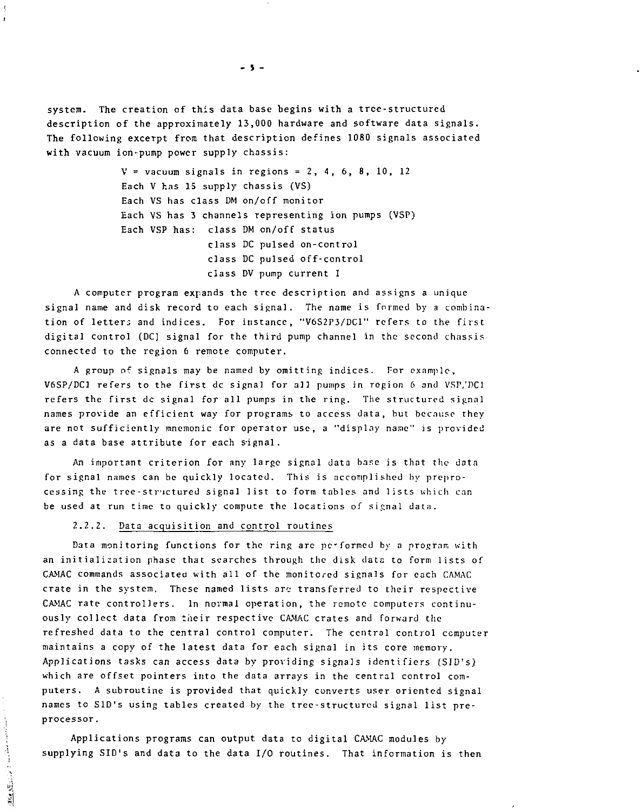system. The creation of this data base begins with a tree-structured description of the approximately 13,000 hardware and software data signals. The following excerpt from that description defines 1080 signals associated with vacuum ion-pump power supply chassis:

> $V =$  vacuum signals in regions = 2, 4, 6, 8, 10, 12 Each V has 15 supply chassis (VS) Each VS has class DM on/off monitor Each VS has 3 channels representing ion pumps (VSP) Each VSP has: class DM on/off status class DC pulsed on-control class DC pulsed off-control class DV pump current I

A computer program expands the tree description and assigns a unique signal name and disk record to each signal. The name is formed by a combination of letters and indices. For instance, "V6S2P3/DC1" refers to the first digital control CDC] signal for the third pump channel in the second chassis connected to the region 6 remote computer.

A group of signals may be named by omitting indices. Tor example, V6SP/DC1 refers to the first dc signal for all pumps in region 6 and VSP,'DO refers the first dc signal for all pumps in the ring. The structured signal names provide an efficient way for programs to access data, but because they are not sufficiently mnemonic for operator use, a "display name" is provided as a data base attribute for each signal.

An important criterion for any large signal data base is that the data for signal names can be quickly located. This is accomplished by preprocessing the tree-structured signal list to form tables and lists which can be used at run time to quickly compute the locations of signal data.

## 2.2.2. Data acquisition and control routines

Data moni toring funct ions for the ring arc *pc r* formed by a program with an initialization phase that searches through the disk data to form lists of CAMAC commands associated with all of the monitored signals for each CAMAC crate in the system. These named lists are transferred to their respective CAMAC rate controllers, In normal operation, the remote computers continuously collect data from their respective CAMAC crates and forward the refreshed data to the central control computer. The central control computer maintains a copy of the latest data for each signal in its core memory. Applications tasks can access data by providing signals identifiers (SID's) which are offset pointers into the data arrays in the central control computers. A subroutine is provided that quickly converts user oriented signal names to SID's using tables created by the tree-structured signal list preprocessor.

Applications programs can output data to digital CAMAC modules by supplying SID's and data to the data I/O routines. That information is then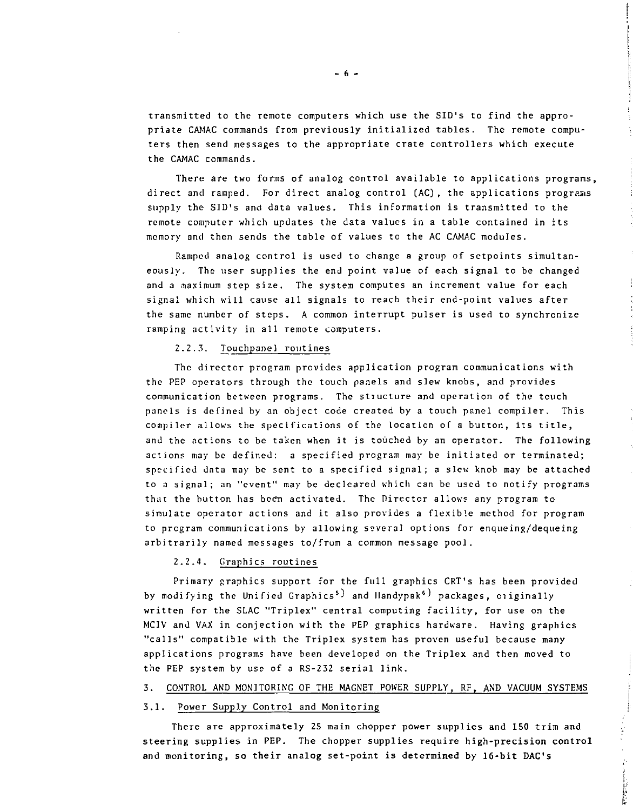transmitted to the remote computers which use the SID's to find the appropriate CAMAC commands from previously initialized tables. The remote computers then send messages to the appropriate crate controllers which execute the CAMAC commands.

There are two forms of analog control available to applications programs, direct and ramped. For direct analog control (AC) *t* the applications programs supply the SID's and data values. This information is transmitted to the remote computer which updates the data values in a table contained in its memory and then sends the table of values to the AC CAMAC modules.

Ramped analog control is used to change a group of setpoints simultaneously. The user supplies the end point value of each signal to be changed and a maximum step size. The system computes an increment value for each signal which will cause all signals to reach their end-point values after the same number of steps. A common interrupt pulser is used to synchronize ramping activity in all remote computers.

### 2.2.3. Touchpanel routines

The director program provides application program communications with the PEP operators through the touch panels and slew knobs, and provides communication between programs. The stiucture and operation of the touch pane Is is defined by an object code created by a touch panel compiler. This compiler allows the specifications of the location of a button, its title, and the actions to be taken when it is touched by an operator. The following actions may be defined: a specified program may be initiated or terminated; specified data may be sent to a specified signal; a slew knob may be attached to a signal; an "event" may be decleared which can be used to notify programs that the button has been activated. The Director allows any program to simulate operator actions and it also provides a flexible method for program to program communications by allowing several options for enqueing/dequeing arbitrarily named messages to/frum a common message pool.

## 2.2.4. Graphics routines

Primary graphics support for the full graphics CRT's has been provided by modifying the Unified Graphics<sup>5</sup>) and Handypak<sup>6</sup>) packages, originally written for the SLAC "Triplex" central computing facility, for use on the MCIV and VAX in conjection with the PEP graphics hardware. Having graphics "calls" compatible with the Triplex system has proven useful because many applications programs have been developed on the Triplex and then moved to the PEP system by use of a RS-232 serial link.

## 3. CONTROL AND MONITORING OF THE MAGNET POWER SUPPLY, RF, AND VACUUM SYSTEMS

#### 3.1. Power Supply Control and Monitoring

There are approximately 25 main chopper power supplies and 150 trim **and**  steering supplies in PEP. The chopper supplies require **high-precision control and monitoring,** so **their analog set-point** is **determined by 16-bit DAC's**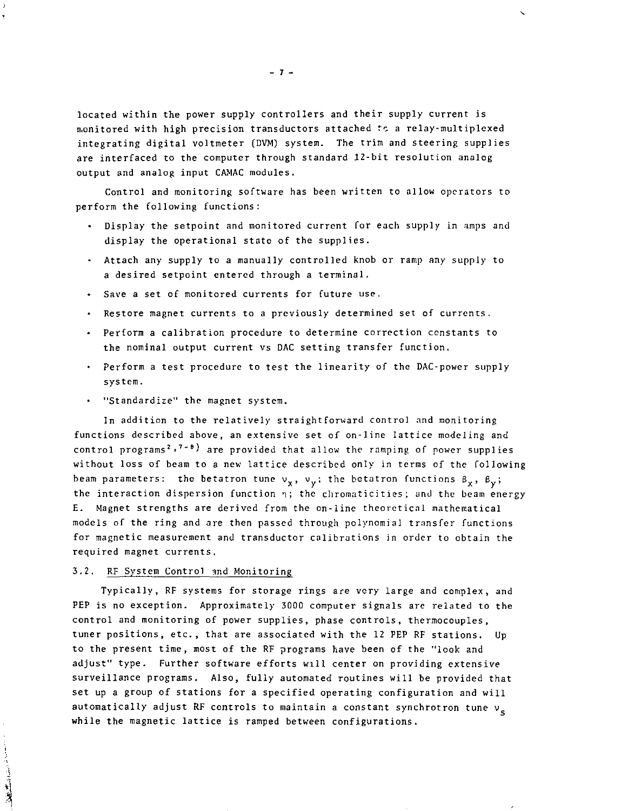located within the power supply controllers and their supply current is monitored with high precision transductors attached re a relay-multiplexed integrating digital voltmeter (DVM) system. The trim and steering supplies are interfaced to the computer through standard 12-bit resolution analog output and analog input CAMAC modules.

Control and monitoring software has been written to allow operators to perform the following functions:

- Display the setpoint and monitored current for each supply in amps and display the operational state of the supplies.
- Attach any supply to a manually controlled knob or ramp any supply to a desired setpoint entered through a terminal.
- Save a set of monitored currents for future use.
- Restore magnet currents to a previously determined set of currents.
- Perforin a calibration procedure to determine correction constants to the nominal output current vs DAC setting transfer function.
- Perform a test procedure to test the linearity of the DAC-power supply system.
- "Standardize" the magnet system.

In addition to the relatively straightforward control and monitoring functions described above, an extensive set of on-line lattice modeling and control programs<sup>2,7-8</sup>) are provided that allow the ramping of power supplies without loss of beam to a new lattice described only in terms of the following beam parameters: the betatron tune  $v_x$ ,  $v_y$ ; the betatron functions  $\beta_x$ ,  $\beta_y$ ; the interaction dispersion function  $\eta$ ; the chromaticities; and the beam energy E. Magnet strengths are derived from the on-line theoretical mathematical models of the ring and are then passed through polynomial transfer functions for magnetic measurement and transductor calibrations in order to obtain the required magnet currents.

# 3.2. RF System Control and Monitoring

**SALE AND CONTROL** 

Typically, RF systems for storage rings are very large and complex, and PEP is no exception. Approximately 3000 computer signals are related to the control and monitoring of power supplies, phase controls, thermocouples, tuner positions, etc., that are associated with the 12 PEP RF stations. Up to the present time, most of the RF programs have been of the "look and adjust" type. Further software efforts will center on providing extensive surveillance programs. Also, fully automated routines will be provided that set up a group of stations for a specified operating configuration and will automatically adjust RF controls to maintain a constant synchrotron tune  $v<sub>e</sub>$ while the magnetic lattice is ramped between configurations.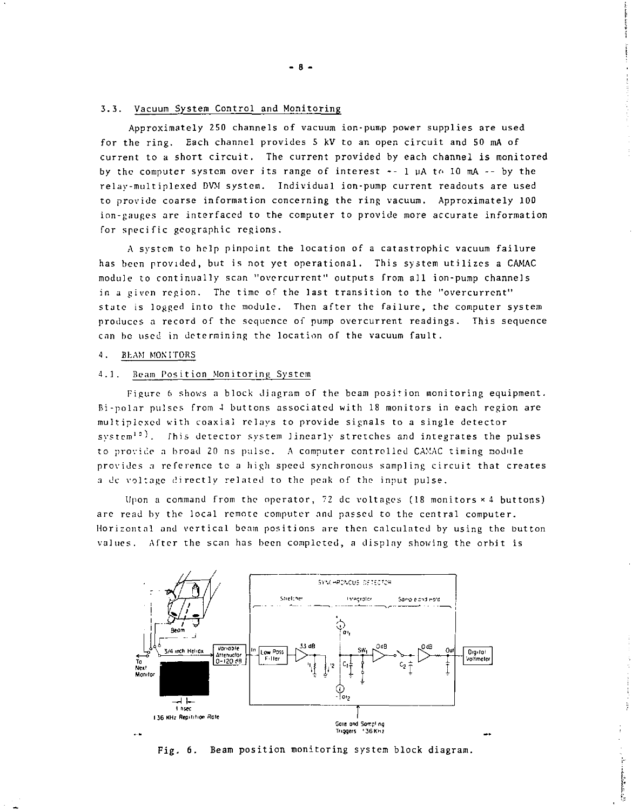# 3.3. Vacuum System Control and Monitoring

Approximately 250 channels of vacuum ion-pump power supplies are used for the ring. Each channel provides S kV to an open circuit and 50 mA of current to a short circuit. The current provided by each channel is monitored by the computer system over its range of interest  $\sim$  1 µA to 10 mA  $\sim$ - by the relay-multiplexed DVM system. Individual ion-pump current readouts are used to provide coarse information concerning the ring vacuum. Approximately 100 ion-gauges are interfaced to the computer to provide more accurate information for specific geographic regions.

A system to help pinpoint the location of a catastrophic vacuum failure has been provided, but is not yet operational. This system utilizes a CAMAC module to continually scan "overcurrent" outputs from all ion-pump channels in a given region. The time of the last transition to the "overcurrent" state is logged into the module. Then after the failure, the computer system produces a record of the sequence of pump overcurrent readings. This sequence can be used in determining the location of the vacuum fault.

# 4. BhAM MONITORS

# 4.1. Beam Position Monitoring System

Figure 6 shows a block diagram of the beam position monitoring equipment. Bi-polar pulses from 4 buttons associated with 18 monitors in each region are multiplexed with coaxial relays to provide signals to a single detector system<sup>19)</sup>. This detector system linearly stretches and integrates the pulses to provide a broad 20 ns pulse. A computer controlled CAMAC timing module provides a reference to a high speed synchronous sampling circuit that creates a Jc voltage directly relatcd to the peak of the input pulse.

Upon a command from the operator, 72 dc voltages (18 monitors \* 4 buttons) are read by the local remote computer and passed to the central computer. Horizontal and vertical beam positions are then calculated by using the button values. After the scan has been completed, a dispiny showing the orbit is



Fig. 6. Beam position monitoring system block diagram.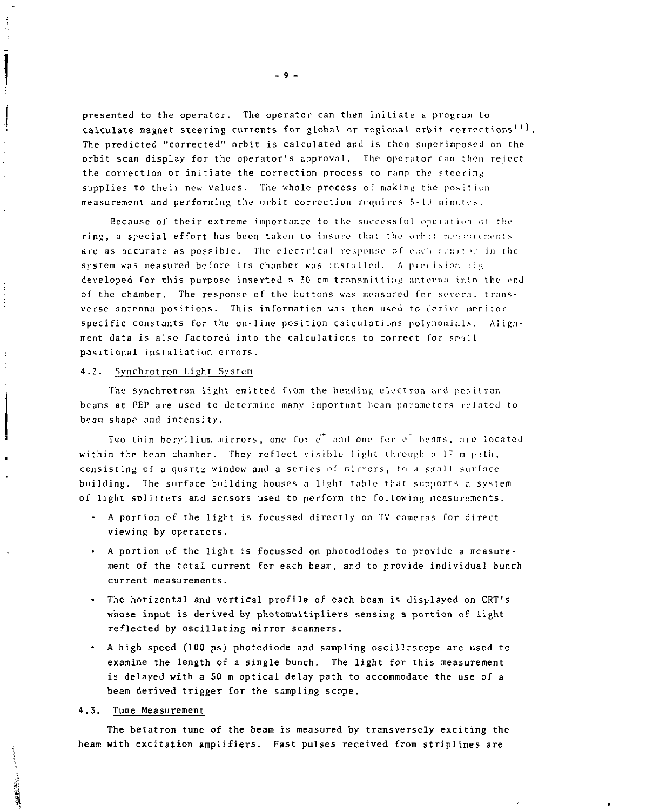presented to the operator. The operator can then initiate a program to calculate magnet steering currents for global or regional orbit corrections<sup>11</sup>. The predicted "corrected" orbit is calculated and is then superimposed on the orbit scan display for the operator's approval. The operator can then reject the correction or initiate the correction process to ramp the steering supplies to their new values. The whole process of making the position measurement and performing the orbit correction requires 5-10 minutes.

Because of their extreme importance to the successful operation of the ring, a special effort has been taken to insure that the orbit measurements are as accurate as possible. The electrical response of each menitor in the system was measured before its chamber was installed. A precision iig developed for this purpose inserted a 30 cm transmitting antenna into the end of the chamber. The response of the buttons was measured *(or* sovera1 transverse antenna positions. This information was then used to derive monitorspecific constants for the on-line position calculations polynomials. Alignment data is also factored into the calculations to correct for spall positional installation errors.

## 4.2. Synchrotron Light System

j

 $\ddot{\cdot}$ 

÷,

ļ

The synchrotron light emitted from the bending electron and positron beams at PEP are used to determine many important beam parameters related to beam shape and intensity.

Two thin beryllium mirrors, one for c<sup>+</sup> and one for e<sup>-</sup> beams, are located within the beam chamber. They reflect visible light through a  $17$  m path, consisting of a quartz window and a series of mirrors, to a small surface building. The surface building houses a light table that supports a system of light splitters and sensors used to perform the following measurements.

- A portion of the light is focussed directly on TV cameras for direct viewing by operators.
- A portion of the light is focussed on photodiodes to provide a measurement of the total current for each beam, and to provide individual bunch current measurements.
- The horizontal and vertical profile of each beam is displayed on CRT's whose input is derived by photomultipliers sensing a portion of light reflected by oscillating mirror scanners.
- A high speed (100 ps) photodiode and sampling oscillcscope are used to examine the length of a single bunch. The light for this measurement is delayed with a SO m optical delay path to accommodate the use of a beam derived trigger for the sampling scope.

## 4.3. Tune Measurement

The betatron tune of the beam is measured by transversely exciting the beam with excitation amplifiers. Fast pulses received from striplines are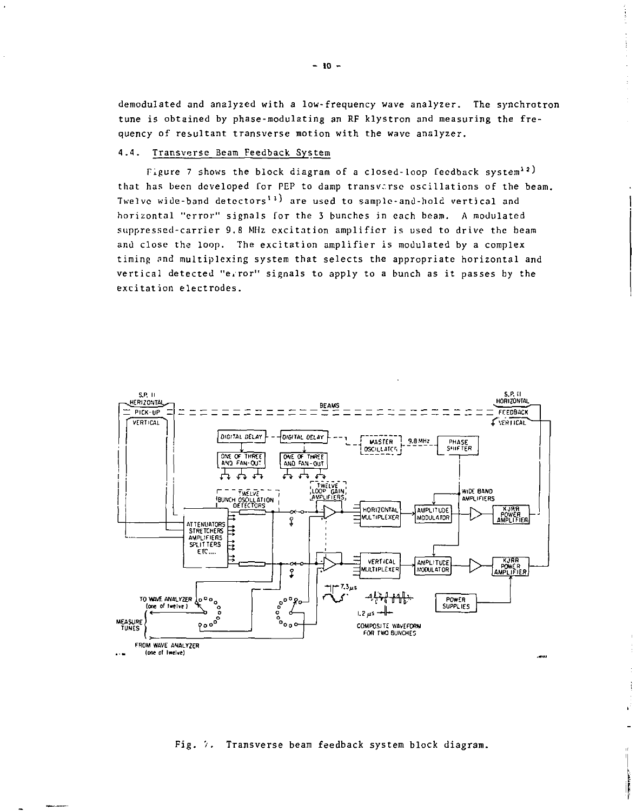demodulated and analyzed with a low-frequency wave analyzer. The synchrotron tune is obtained by phase-modulating an RF klystron and measuring the frequency of resultant transverse motion with the wave analyzer.

# 4.4. Transverse Beam Feedback System

Figure 7 shows the block diagram of a closed-loop feedback system<sup>12</sup>) that has been developed for PEP to damp transvarse oscillations of the beam. Twelve wide-band detectors<sup>13</sup>) are used to sample-and-hold vertical and horizontal "error" signals for the 3 bunches in each beam. *A* modulated suppressed-carrier 9.8 MHz excitation amplifier is used to drive the beam and close the loop. The excitation amplifier is modulated by a complex timing and multiplexing system that selects the appropriate horizontal and vertical detected "eiror" signals to apply to a bunch as it passes by the excitation electrodes.



Fig. 7. Transverse beam feedback system block diagram.

İ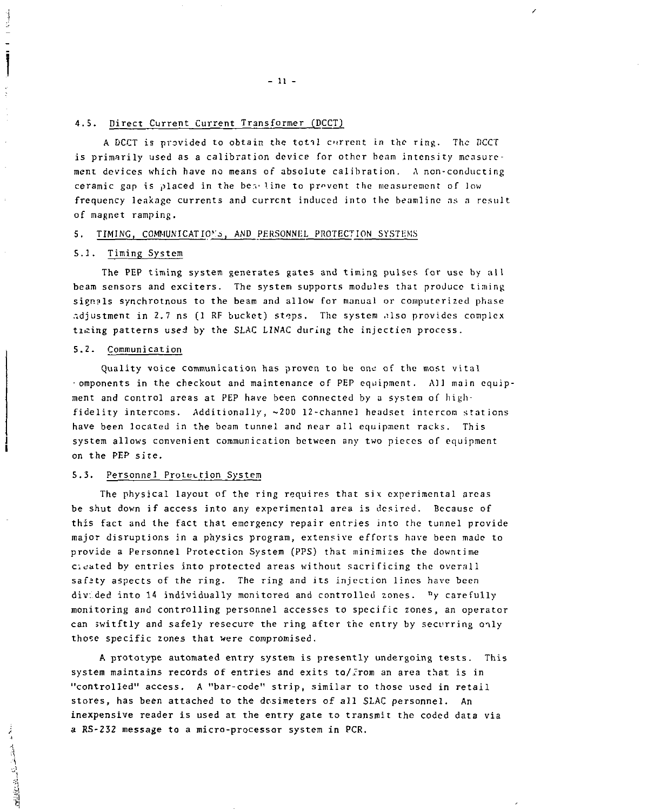## 4.5. Direct Current Current Transformer (DCCT)

A DCCT is provided to obtain the total current in the ring. The DCCT is primarily used as a calibration device for other beam intensity measurement devices which have no means of absolute calibration. A non-conducting ceramic gap is placed in the beseline to prevent the measurement of low frequency leakage currents and current induced into the beamlinc as a result of magnet ramping.

# 5. TIMING, COMMUNICATIONS, AND PERSONNEL PROTECTION SYSTEMS

## 5.1. Timing System

The PEP timing system generates gates and timing pulses for use by all beam sensors and exciters. The system supports modules that produce timing signals synchrotnous to the beam and allow for manual or computerized phase adjustment in 2.7 ns (1 RF bucket) steps. The system .ilso provides complex tiging patterns used by the SLAC LINAC during the injection process.

## 5.2. Communication

Quality voice communication has proven to be one of the most vital •omponents in the checkout and maintenance of PEP equipment. All main equip ment and control areas at PEP have been connected by a system of highfidelity intercoms. Additionally, ~200 12-channel headset intercom stations have been located in the beam tunnel and near all equipment racks. This system allows convenient communication between any two pieces of equipment on the PEP site.

## 5.3. Personnel Protection System

The physical layout of the ring requires that six experimental areas be shut down if access into any experimental area is desired. Because of this fact and the fact that emergency repair entries into the tunnel provide major disruptions in a physics program, extensive efforts have been made to provide a Personnel Protection System (PPS) that minimises the downtime cidated by entries into protected areas without sacrificing the overall safaty aspects of the ring. The ring and its injection lines have been divided into 14 individually monitored and controlled zones. <sup>n</sup>y carefully monitoring and controlling personnel accesses to specific zones, an operator can switftly and safely resecure the ring after the entry by securring only those specific zones that were compromised.

A prototype automated entry system is presently undergoing tests. This system maintains records of entries and exits to/from an area that is in "controlled" access. A "bar-code" strip, similar to those used in retail stores, has been attached to the dosimeters of all SLAC personnel. An inexpensive reader is used at the entry gate to transmit the coded data via a RS-232 message to a micro-processor system in PCR.